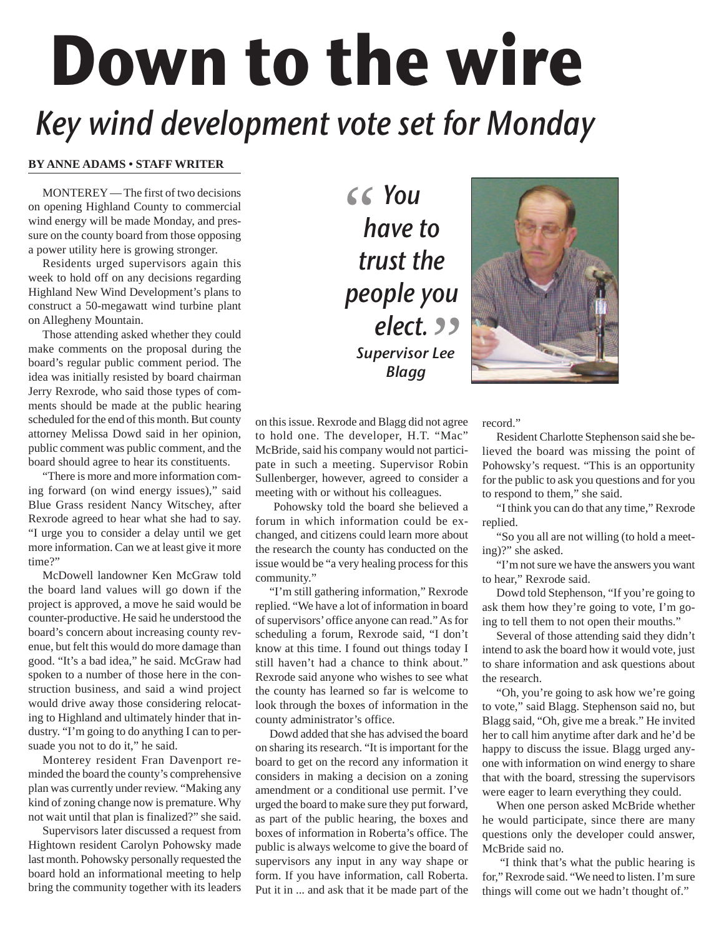## **Down to the wire** Key wind development vote set for Monday

## **BY ANNE ADAMS • STAFF WRITER**

MONTEREY — The first of two decisions on opening Highland County to commercial wind energy will be made Monday, and pressure on the county board from those opposing a power utility here is growing stronger.

Residents urged supervisors again this week to hold off on any decisions regarding Highland New Wind Development's plans to construct a 50-megawatt wind turbine plant on Allegheny Mountain.

Those attending asked whether they could make comments on the proposal during the board's regular public comment period. The idea was initially resisted by board chairman Jerry Rexrode, who said those types of comments should be made at the public hearing scheduled for the end of this month. But county attorney Melissa Dowd said in her opinion, public comment was public comment, and the board should agree to hear its constituents.

"There is more and more information coming forward (on wind energy issues)," said Blue Grass resident Nancy Witschey, after Rexrode agreed to hear what she had to say. "I urge you to consider a delay until we get more information. Can we at least give it more time?"

McDowell landowner Ken McGraw told the board land values will go down if the project is approved, a move he said would be counter-productive. He said he understood the board's concern about increasing county revenue, but felt this would do more damage than good. "It's a bad idea," he said. McGraw had spoken to a number of those here in the construction business, and said a wind project would drive away those considering relocating to Highland and ultimately hinder that industry. "I'm going to do anything I can to persuade you not to do it," he said.

Monterey resident Fran Davenport reminded the board the county's comprehensive plan was currently under review. "Making any kind of zoning change now is premature. Why not wait until that plan is finalized?" she said.

Supervisors later discussed a request from Hightown resident Carolyn Pohowsky made last month. Pohowsky personally requested the board hold an informational meeting to help bring the community together with its leaders

" You have to trust the people you e<mark>lect.</mark><br>Pervisor Lee<br>Blagg Supervisor Lee Blagg



on this issue. Rexrode and Blagg did not agree to hold one. The developer, H.T. "Mac" McBride, said his company would not participate in such a meeting. Supervisor Robin Sullenberger, however, agreed to consider a meeting with or without his colleagues.

Pohowsky told the board she believed a forum in which information could be exchanged, and citizens could learn more about the research the county has conducted on the issue would be "a very healing process for this community."

"I'm still gathering information," Rexrode replied. "We have a lot of information in board of supervisors' office anyone can read." As for scheduling a forum, Rexrode said, "I don't know at this time. I found out things today I still haven't had a chance to think about." Rexrode said anyone who wishes to see what the county has learned so far is welcome to look through the boxes of information in the county administrator's office.

Dowd added that she has advised the board on sharing its research. "It is important for the board to get on the record any information it considers in making a decision on a zoning amendment or a conditional use permit. I've urged the board to make sure they put forward, as part of the public hearing, the boxes and boxes of information in Roberta's office. The public is always welcome to give the board of supervisors any input in any way shape or form. If you have information, call Roberta. Put it in ... and ask that it be made part of the

record."

Resident Charlotte Stephenson said she believed the board was missing the point of Pohowsky's request. "This is an opportunity for the public to ask you questions and for you to respond to them," she said.

"I think you can do that any time," Rexrode replied.

"So you all are not willing (to hold a meeting)?" she asked.

"I'm not sure we have the answers you want to hear," Rexrode said.

Dowd told Stephenson, "If you're going to ask them how they're going to vote, I'm going to tell them to not open their mouths."

Several of those attending said they didn't intend to ask the board how it would vote, just to share information and ask questions about the research.

"Oh, you're going to ask how we're going to vote," said Blagg. Stephenson said no, but Blagg said, "Oh, give me a break." He invited her to call him anytime after dark and he'd be happy to discuss the issue. Blagg urged anyone with information on wind energy to share that with the board, stressing the supervisors were eager to learn everything they could.

When one person asked McBride whether he would participate, since there are many questions only the developer could answer, McBride said no.

"I think that's what the public hearing is for," Rexrode said. "We need to listen. I'm sure things will come out we hadn't thought of."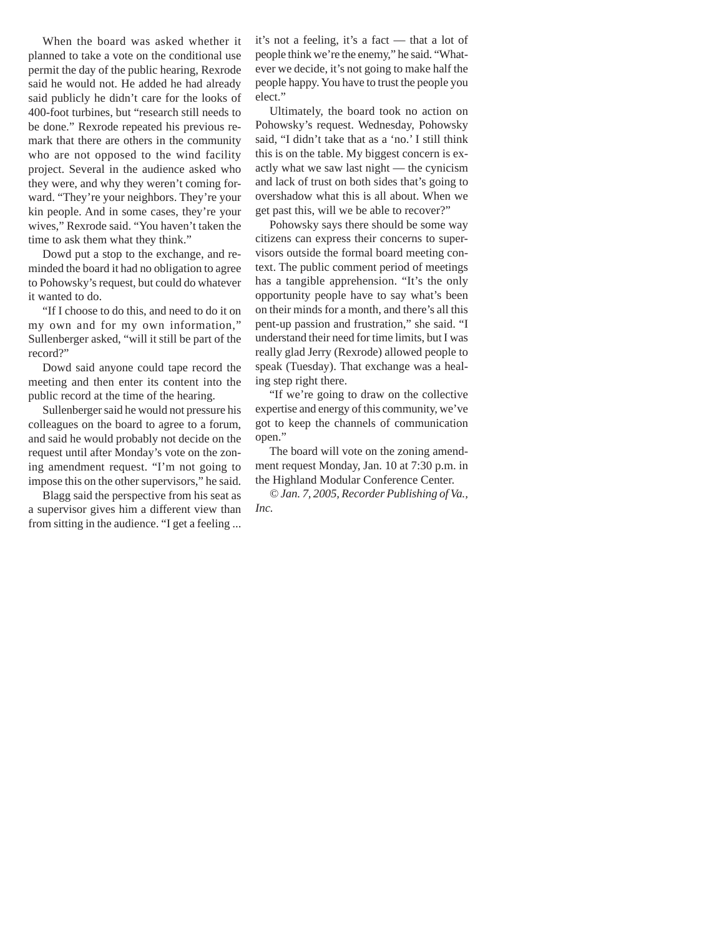When the board was asked whether it planned to take a vote on the conditional use permit the day of the public hearing, Rexrode said he would not. He added he had already said publicly he didn't care for the looks of 400-foot turbines, but "research still needs to be done." Rexrode repeated his previous remark that there are others in the community who are not opposed to the wind facility project. Several in the audience asked who they were, and why they weren't coming forward. "They're your neighbors. They're your kin people. And in some cases, they're your wives," Rexrode said. "You haven't taken the time to ask them what they think."

Dowd put a stop to the exchange, and reminded the board it had no obligation to agree to Pohowsky's request, but could do whatever it wanted to do.

"If I choose to do this, and need to do it on my own and for my own information," Sullenberger asked, "will it still be part of the record?"

Dowd said anyone could tape record the meeting and then enter its content into the public record at the time of the hearing.

Sullenberger said he would not pressure his colleagues on the board to agree to a forum, and said he would probably not decide on the request until after Monday's vote on the zoning amendment request. "I'm not going to impose this on the other supervisors," he said.

Blagg said the perspective from his seat as a supervisor gives him a different view than from sitting in the audience. "I get a feeling ...

it's not a feeling, it's a fact — that a lot of people think we're the enemy," he said. "Whatever we decide, it's not going to make half the people happy. You have to trust the people you elect."

Ultimately, the board took no action on Pohowsky's request. Wednesday, Pohowsky said, "I didn't take that as a 'no.' I still think this is on the table. My biggest concern is exactly what we saw last night — the cynicism and lack of trust on both sides that's going to overshadow what this is all about. When we get past this, will we be able to recover?"

Pohowsky says there should be some way citizens can express their concerns to supervisors outside the formal board meeting context. The public comment period of meetings has a tangible apprehension. "It's the only opportunity people have to say what's been on their minds for a month, and there's all this pent-up passion and frustration," she said. "I understand their need for time limits, but I was really glad Jerry (Rexrode) allowed people to speak (Tuesday). That exchange was a healing step right there.

"If we're going to draw on the collective expertise and energy of this community, we've got to keep the channels of communication open."

The board will vote on the zoning amendment request Monday, Jan. 10 at 7:30 p.m. in the Highland Modular Conference Center.

*© Jan. 7, 2005, Recorder Publishing of Va., Inc.*